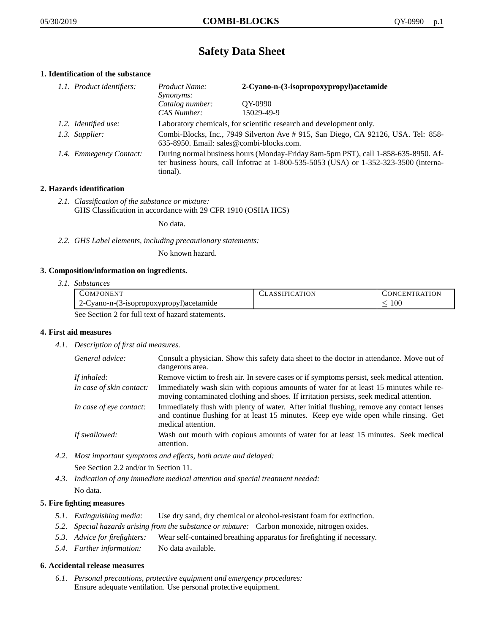# **Safety Data Sheet**

# **1. Identification of the substance**

| 1.1. Product identifiers: | Product Name:<br><i>Synonyms:</i>                                                                                                                                                           | 2-Cyano-n-(3-isopropoxypropyl)acetamide |
|---------------------------|---------------------------------------------------------------------------------------------------------------------------------------------------------------------------------------------|-----------------------------------------|
|                           | Catalog number:<br>CAS Number:                                                                                                                                                              | OY-0990<br>15029-49-9                   |
| 1.2. Identified use:      | Laboratory chemicals, for scientific research and development only.                                                                                                                         |                                         |
| 1.3. Supplier:            | Combi-Blocks, Inc., 7949 Silverton Ave # 915, San Diego, CA 92126, USA. Tel: 858-<br>635-8950. Email: sales@combi-blocks.com.                                                               |                                         |
| 1.4. Emmegency Contact:   | During normal business hours (Monday-Friday 8am-5pm PST), call 1-858-635-8950. Af-<br>ter business hours, call Infotrac at $1-800-535-5053$ (USA) or $1-352-323-3500$ (interna-<br>tional). |                                         |

# **2. Hazards identification**

*2.1. Classification of the substance or mixture:* GHS Classification in accordance with 29 CFR 1910 (OSHA HCS)

No data.

*2.2. GHS Label elements, including precautionary statements:*

No known hazard.

## **3. Composition/information on ingredients.**

*3.1. Substances*

| COMPONENT                                        | CLASSIFICATION | <b>CONCENTRATION</b> |
|--------------------------------------------------|----------------|----------------------|
| Vano-n-(3-isopropoxypropyl)acetamide             |                | ı 00                 |
| Soo Soction 2 for full toxt of hozord statements |                |                      |

See Section 2 for full text of hazard statements.

# **4. First aid measures**

*4.1. Description of first aid measures.*

| General advice:          | Consult a physician. Show this safety data sheet to the doctor in attendance. Move out of<br>dangerous area.                                                                                            |
|--------------------------|---------------------------------------------------------------------------------------------------------------------------------------------------------------------------------------------------------|
| If inhaled:              | Remove victim to fresh air. In severe cases or if symptoms persist, seek medical attention.                                                                                                             |
| In case of skin contact: | Immediately wash skin with copious amounts of water for at least 15 minutes while re-<br>moving contaminated clothing and shoes. If irritation persists, seek medical attention.                        |
| In case of eye contact:  | Immediately flush with plenty of water. After initial flushing, remove any contact lenses<br>and continue flushing for at least 15 minutes. Keep eye wide open while rinsing. Get<br>medical attention. |
| If swallowed:            | Wash out mouth with copious amounts of water for at least 15 minutes. Seek medical<br>attention.                                                                                                        |

*4.2. Most important symptoms and effects, both acute and delayed:*

See Section 2.2 and/or in Section 11.

*4.3. Indication of any immediate medical attention and special treatment needed:* No data.

# **5. Fire fighting measures**

- *5.1. Extinguishing media:* Use dry sand, dry chemical or alcohol-resistant foam for extinction.
- *5.2. Special hazards arising from the substance or mixture:* Carbon monoxide, nitrogen oxides.
- *5.3. Advice for firefighters:* Wear self-contained breathing apparatus for firefighting if necessary.
- *5.4. Further information:* No data available.

## **6. Accidental release measures**

*6.1. Personal precautions, protective equipment and emergency procedures:* Ensure adequate ventilation. Use personal protective equipment.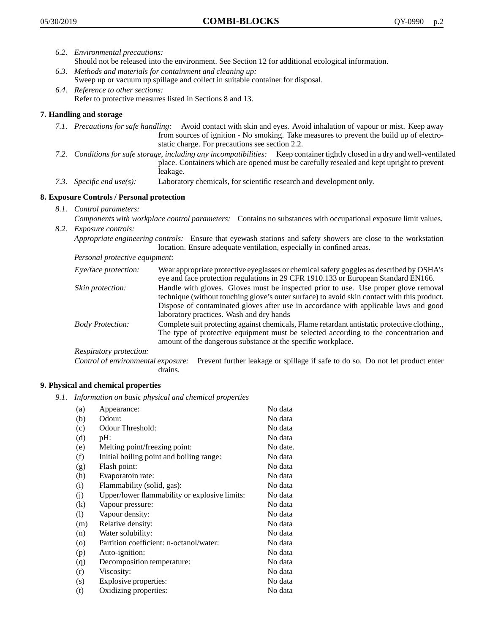- *6.2. Environmental precautions:* Should not be released into the environment. See Section 12 for additional ecological information.
- *6.3. Methods and materials for containment and cleaning up:* Sweep up or vacuum up spillage and collect in suitable container for disposal.
- *6.4. Reference to other sections:* Refer to protective measures listed in Sections 8 and 13.

# **7. Handling and storage**

- *7.1. Precautions for safe handling:* Avoid contact with skin and eyes. Avoid inhalation of vapour or mist. Keep away from sources of ignition - No smoking. Take measures to prevent the build up of electrostatic charge. For precautions see section 2.2.
- *7.2. Conditions for safe storage, including any incompatibilities:* Keep container tightly closed in a dry and well-ventilated place. Containers which are opened must be carefully resealed and kept upright to prevent leakage.
- *7.3. Specific end use(s):* Laboratory chemicals, for scientific research and development only.

# **8. Exposure Controls / Personal protection**

- *8.1. Control parameters:*
- *Components with workplace control parameters:* Contains no substances with occupational exposure limit values. *8.2. Exposure controls:*

*Appropriate engineering controls:* Ensure that eyewash stations and safety showers are close to the workstation location. Ensure adequate ventilation, especially in confined areas.

*Personal protective equipment:*

| Eye/face protection:    | Wear appropriate protective eyeglasses or chemical safety goggles as described by OSHA's<br>eye and face protection regulations in 29 CFR 1910.133 or European Standard EN166.                                                                                                                                         |
|-------------------------|------------------------------------------------------------------------------------------------------------------------------------------------------------------------------------------------------------------------------------------------------------------------------------------------------------------------|
| Skin protection:        | Handle with gloves. Gloves must be inspected prior to use. Use proper glove removal<br>technique (without touching glove's outer surface) to avoid skin contact with this product.<br>Dispose of contaminated gloves after use in accordance with applicable laws and good<br>laboratory practices. Wash and dry hands |
| <b>Body Protection:</b> | Complete suit protecting against chemicals, Flame retardant antistatic protective clothing.,<br>The type of protective equipment must be selected according to the concentration and<br>amount of the dangerous substance at the specific workplace.                                                                   |
| Respiratory protection: |                                                                                                                                                                                                                                                                                                                        |

Control of environmental exposure: Prevent further leakage or spillage if safe to do so. Do not let product enter drains.

## **9. Physical and chemical properties**

*9.1. Information on basic physical and chemical properties*

| (a)                          | Appearance:                                   | No data  |
|------------------------------|-----------------------------------------------|----------|
| (b)                          | Odour:                                        | No data  |
| (c)                          | Odour Threshold:                              | No data  |
| (d)                          | pH:                                           | No data  |
| (e)                          | Melting point/freezing point:                 | No date. |
| (f)                          | Initial boiling point and boiling range:      | No data  |
| (g)                          | Flash point:                                  | No data  |
| (h)                          | Evaporatoin rate:                             | No data  |
| (i)                          | Flammability (solid, gas):                    | No data  |
| (j)                          | Upper/lower flammability or explosive limits: | No data  |
| $\left( k\right)$            | Vapour pressure:                              | No data  |
| $\left( \frac{1}{2} \right)$ | Vapour density:                               | No data  |
| (m)                          | Relative density:                             | No data  |
| (n)                          | Water solubility:                             | No data  |
| $\circ$                      | Partition coefficient: n-octanol/water:       | No data  |
| (p)                          | Auto-ignition:                                | No data  |
| (q)                          | Decomposition temperature:                    | No data  |
| (r)                          | Viscosity:                                    | No data  |
| (s)                          | Explosive properties:                         | No data  |
| (t)                          | Oxidizing properties:                         | No data  |